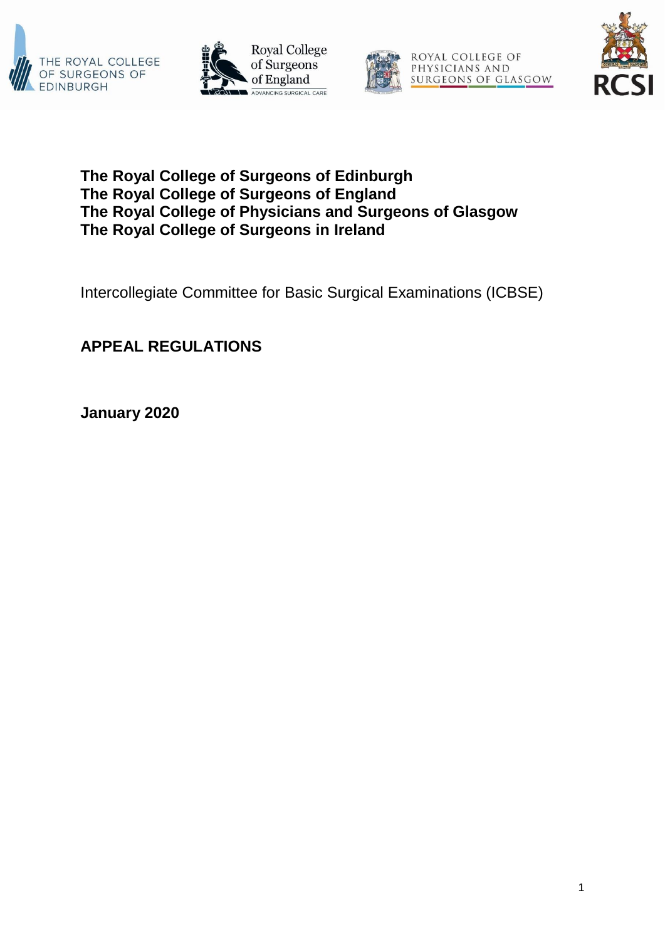







## **The Royal College of Surgeons of Edinburgh The Royal College of Surgeons of England The Royal College of Physicians and Surgeons of Glasgow The Royal College of Surgeons in Ireland**

Intercollegiate Committee for Basic Surgical Examinations (ICBSE)

# **APPEAL REGULATIONS**

**January 2020**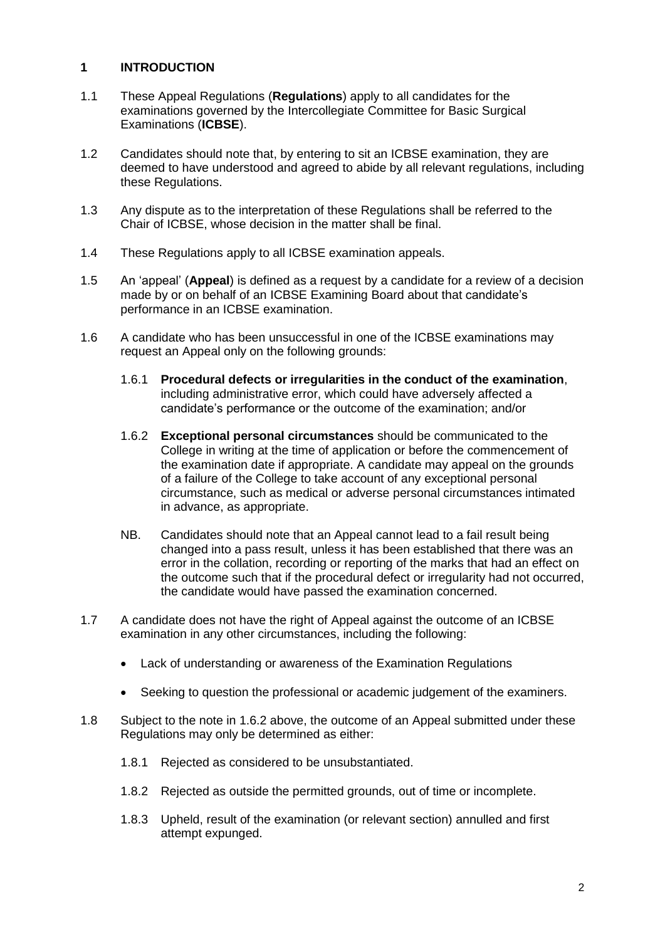#### **1 INTRODUCTION**

- 1.1 These Appeal Regulations (**Regulations**) apply to all candidates for the examinations governed by the Intercollegiate Committee for Basic Surgical Examinations (**ICBSE**).
- 1.2 Candidates should note that, by entering to sit an ICBSE examination, they are deemed to have understood and agreed to abide by all relevant regulations, including these Regulations.
- 1.3 Any dispute as to the interpretation of these Regulations shall be referred to the Chair of ICBSE, whose decision in the matter shall be final.
- 1.4 These Regulations apply to all ICBSE examination appeals.
- 1.5 An 'appeal' (**Appeal**) is defined as a request by a candidate for a review of a decision made by or on behalf of an ICBSE Examining Board about that candidate's performance in an ICBSE examination.
- 1.6 A candidate who has been unsuccessful in one of the ICBSE examinations may request an Appeal only on the following grounds:
	- 1.6.1 **Procedural defects or irregularities in the conduct of the examination**, including administrative error, which could have adversely affected a candidate's performance or the outcome of the examination; and/or
	- 1.6.2 **Exceptional personal circumstances** should be communicated to the College in writing at the time of application or before the commencement of the examination date if appropriate. A candidate may appeal on the grounds of a failure of the College to take account of any exceptional personal circumstance, such as medical or adverse personal circumstances intimated in advance, as appropriate.
	- NB. Candidates should note that an Appeal cannot lead to a fail result being changed into a pass result, unless it has been established that there was an error in the collation, recording or reporting of the marks that had an effect on the outcome such that if the procedural defect or irregularity had not occurred, the candidate would have passed the examination concerned.
- 1.7 A candidate does not have the right of Appeal against the outcome of an ICBSE examination in any other circumstances, including the following:
	- Lack of understanding or awareness of the Examination Regulations
	- Seeking to question the professional or academic judgement of the examiners.
- 1.8 Subject to the note in 1.6.2 above, the outcome of an Appeal submitted under these Regulations may only be determined as either:
	- 1.8.1 Rejected as considered to be unsubstantiated.
	- 1.8.2 Rejected as outside the permitted grounds, out of time or incomplete.
	- 1.8.3 Upheld, result of the examination (or relevant section) annulled and first attempt expunged.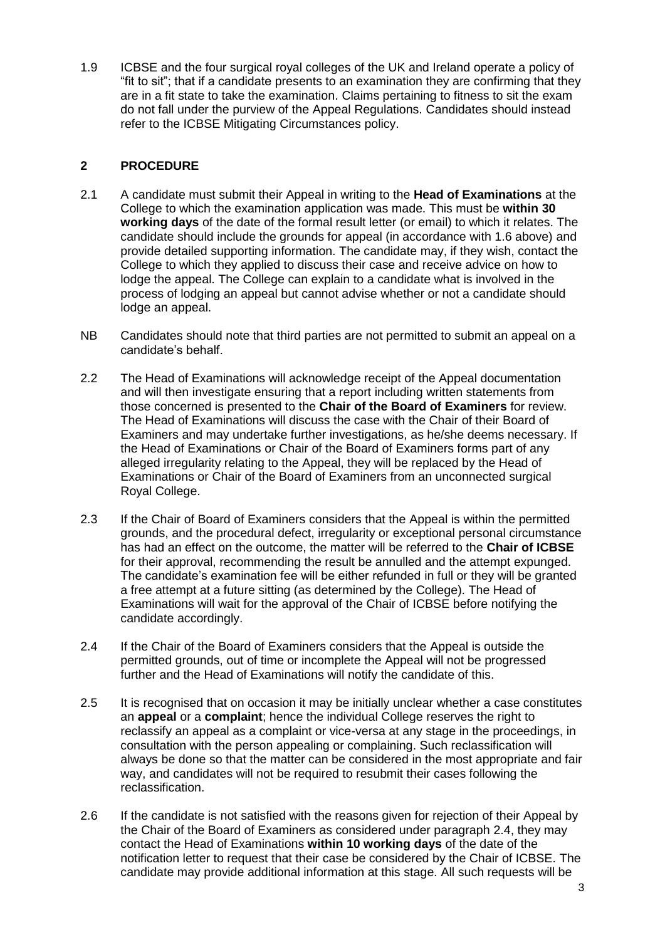1.9 ICBSE and the four surgical royal colleges of the UK and Ireland operate a policy of "fit to sit"; that if a candidate presents to an examination they are confirming that they are in a fit state to take the examination. Claims pertaining to fitness to sit the exam do not fall under the purview of the Appeal Regulations. Candidates should instead refer to the ICBSE Mitigating Circumstances policy.

#### **2 PROCEDURE**

- 2.1 A candidate must submit their Appeal in writing to the **Head of Examinations** at the College to which the examination application was made. This must be **within 30 working days** of the date of the formal result letter (or email) to which it relates. The candidate should include the grounds for appeal (in accordance with 1.6 above) and provide detailed supporting information. The candidate may, if they wish, contact the College to which they applied to discuss their case and receive advice on how to lodge the appeal. The College can explain to a candidate what is involved in the process of lodging an appeal but cannot advise whether or not a candidate should lodge an appeal.
- NB Candidates should note that third parties are not permitted to submit an appeal on a candidate's behalf.
- 2.2 The Head of Examinations will acknowledge receipt of the Appeal documentation and will then investigate ensuring that a report including written statements from those concerned is presented to the **Chair of the Board of Examiners** for review. The Head of Examinations will discuss the case with the Chair of their Board of Examiners and may undertake further investigations, as he/she deems necessary. If the Head of Examinations or Chair of the Board of Examiners forms part of any alleged irregularity relating to the Appeal, they will be replaced by the Head of Examinations or Chair of the Board of Examiners from an unconnected surgical Royal College.
- 2.3 If the Chair of Board of Examiners considers that the Appeal is within the permitted grounds, and the procedural defect, irregularity or exceptional personal circumstance has had an effect on the outcome, the matter will be referred to the **Chair of ICBSE** for their approval, recommending the result be annulled and the attempt expunged. The candidate's examination fee will be either refunded in full or they will be granted a free attempt at a future sitting (as determined by the College). The Head of Examinations will wait for the approval of the Chair of ICBSE before notifying the candidate accordingly.
- 2.4 If the Chair of the Board of Examiners considers that the Appeal is outside the permitted grounds, out of time or incomplete the Appeal will not be progressed further and the Head of Examinations will notify the candidate of this.
- 2.5 It is recognised that on occasion it may be initially unclear whether a case constitutes an **appeal** or a **complaint**; hence the individual College reserves the right to reclassify an appeal as a complaint or vice-versa at any stage in the proceedings, in consultation with the person appealing or complaining. Such reclassification will always be done so that the matter can be considered in the most appropriate and fair way, and candidates will not be required to resubmit their cases following the reclassification.
- 2.6 If the candidate is not satisfied with the reasons given for rejection of their Appeal by the Chair of the Board of Examiners as considered under paragraph 2.4, they may contact the Head of Examinations **within 10 working days** of the date of the notification letter to request that their case be considered by the Chair of ICBSE. The candidate may provide additional information at this stage. All such requests will be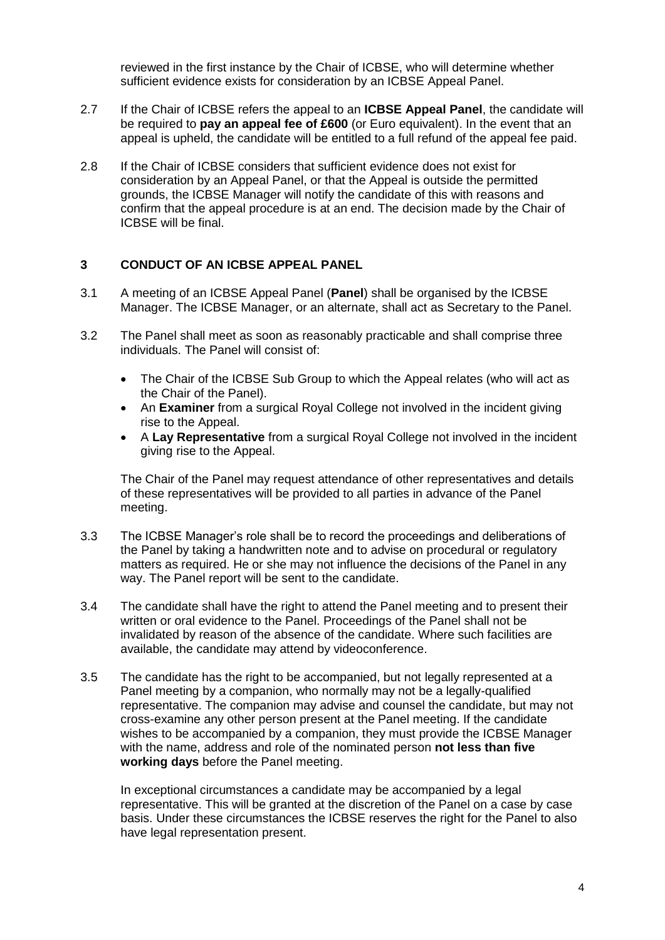reviewed in the first instance by the Chair of ICBSE, who will determine whether sufficient evidence exists for consideration by an ICBSE Appeal Panel.

- 2.7 If the Chair of ICBSE refers the appeal to an **ICBSE Appeal Panel**, the candidate will be required to **pay an appeal fee of £600** (or Euro equivalent). In the event that an appeal is upheld, the candidate will be entitled to a full refund of the appeal fee paid.
- 2.8 If the Chair of ICBSE considers that sufficient evidence does not exist for consideration by an Appeal Panel, or that the Appeal is outside the permitted grounds, the ICBSE Manager will notify the candidate of this with reasons and confirm that the appeal procedure is at an end. The decision made by the Chair of ICBSE will be final.

#### **3 CONDUCT OF AN ICBSE APPEAL PANEL**

- 3.1 A meeting of an ICBSE Appeal Panel (**Panel**) shall be organised by the ICBSE Manager. The ICBSE Manager, or an alternate, shall act as Secretary to the Panel.
- 3.2 The Panel shall meet as soon as reasonably practicable and shall comprise three individuals. The Panel will consist of:
	- The Chair of the ICBSE Sub Group to which the Appeal relates (who will act as the Chair of the Panel).
	- An **Examiner** from a surgical Royal College not involved in the incident giving rise to the Appeal.
	- A **Lay Representative** from a surgical Royal College not involved in the incident giving rise to the Appeal.

The Chair of the Panel may request attendance of other representatives and details of these representatives will be provided to all parties in advance of the Panel meeting.

- 3.3 The ICBSE Manager's role shall be to record the proceedings and deliberations of the Panel by taking a handwritten note and to advise on procedural or regulatory matters as required. He or she may not influence the decisions of the Panel in any way. The Panel report will be sent to the candidate.
- 3.4 The candidate shall have the right to attend the Panel meeting and to present their written or oral evidence to the Panel. Proceedings of the Panel shall not be invalidated by reason of the absence of the candidate. Where such facilities are available, the candidate may attend by videoconference.
- 3.5 The candidate has the right to be accompanied, but not legally represented at a Panel meeting by a companion, who normally may not be a legally-qualified representative. The companion may advise and counsel the candidate, but may not cross-examine any other person present at the Panel meeting. If the candidate wishes to be accompanied by a companion, they must provide the ICBSE Manager with the name, address and role of the nominated person **not less than five working days** before the Panel meeting.

In exceptional circumstances a candidate may be accompanied by a legal representative. This will be granted at the discretion of the Panel on a case by case basis. Under these circumstances the ICBSE reserves the right for the Panel to also have legal representation present.